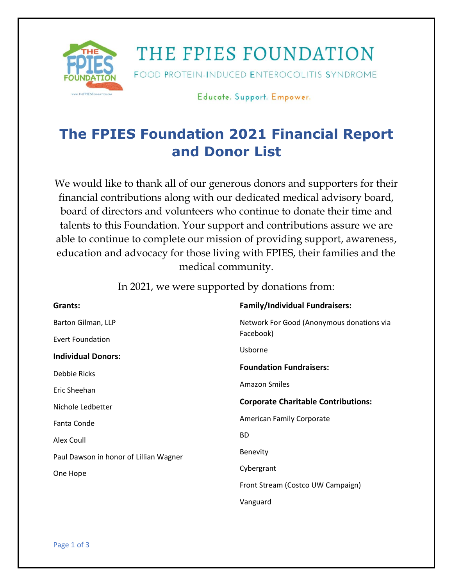

## THE FPIES FOUNDATION

FOOD PROTEIN-INDUCED ENTEROCOLITIS SYNDROME

Educate. Support. Empower.

### **The FPIES Foundation 2021 Financial Report and Donor List**

We would like to thank all of our generous donors and supporters for their financial contributions along with our dedicated medical advisory board, board of directors and volunteers who continue to donate their time and talents to this Foundation. Your support and contributions assure we are able to continue to complete our mission of providing support, awareness, education and advocacy for those living with FPIES, their families and the medical community.

**Grants:**  Barton Gilman, LLP Evert Foundation **Individual Donors:**  Debbie Ricks Eric Sheehan Nichole Ledbetter Fanta Conde Alex Coull Paul Dawson in honor of Lillian Wagner One Hope **Family/Individual Fundraisers:**  Network For Good (Anonymous donations via Facebook) Usborne **Foundation Fundraisers:**  Amazon Smiles **Corporate Charitable Contributions:**  American Family Corporate BD Benevity Cybergrant Front Stream (Costco UW Campaign) Vanguard

In 2021, we were supported by donations from: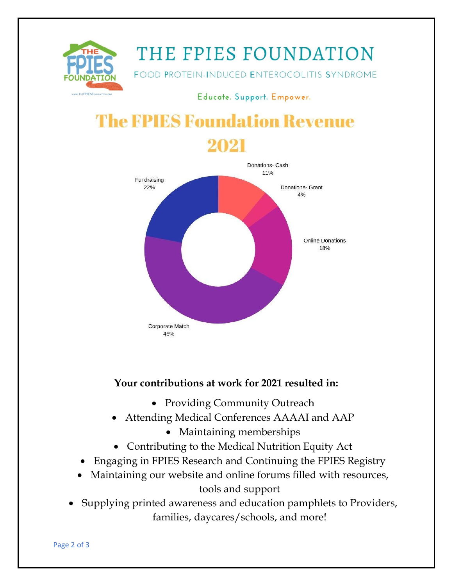

# THE FPIES FOUNDATION

FOOD PROTEIN-INDUCED ENTEROCOLITIS SYNDROME

Educate. Support. Empower.

# **The FPIES Foundation Revenue**



#### **Your contributions at work for 2021 resulted in:**

- Providing Community Outreach
- Attending Medical Conferences AAAAI and AAP
	- Maintaining memberships
- Contributing to the Medical Nutrition Equity Act
- Engaging in FPIES Research and Continuing the FPIES Registry
- Maintaining our website and online forums filled with resources, tools and support
- Supplying printed awareness and education pamphlets to Providers, families, daycares/schools, and more!